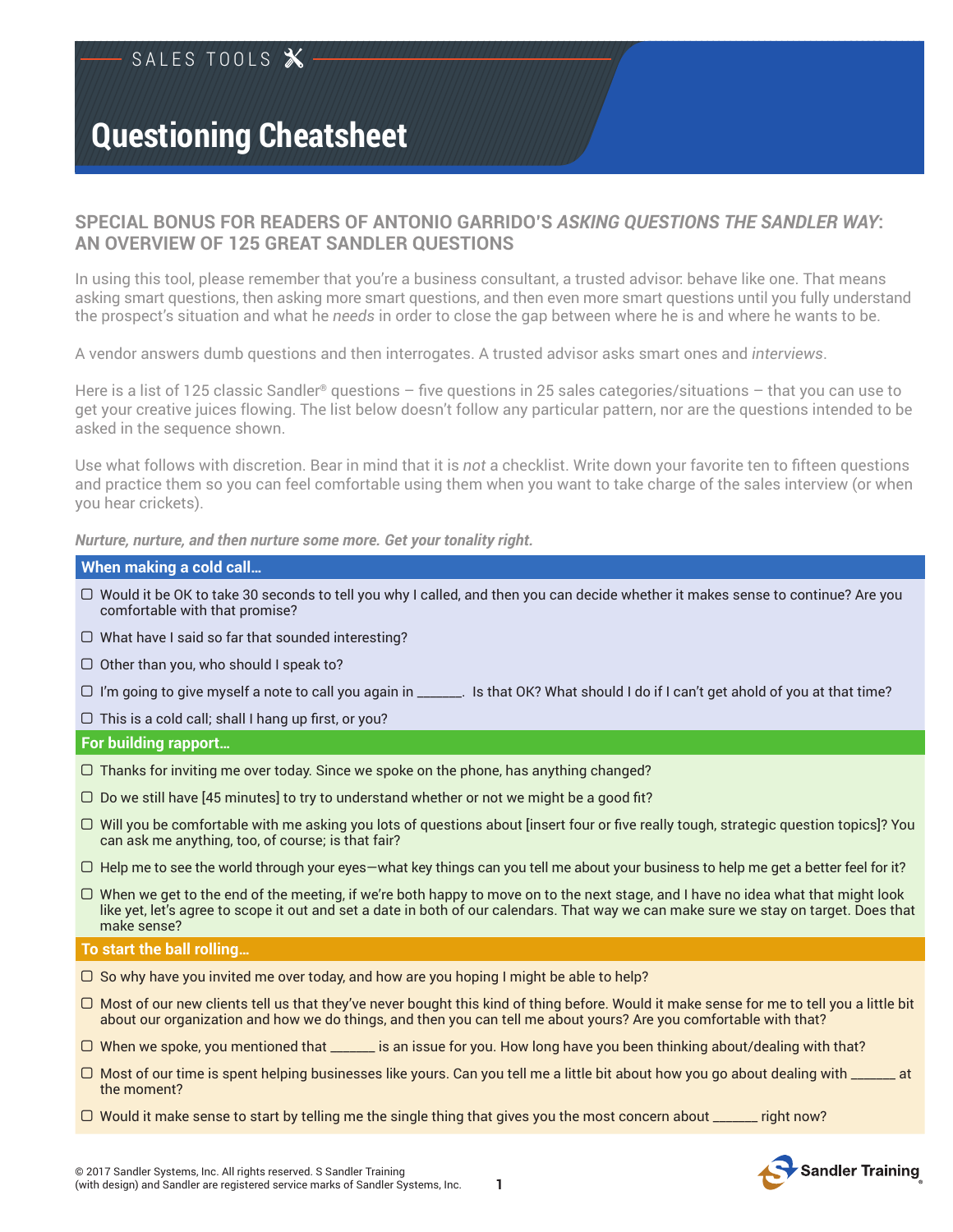## **SPECIAL BONUS FOR READERS OF ANTONIO GARRIDO'S** *ASKING QUESTIONS THE SANDLER WAY***: AN OVERVIEW OF 125 GREAT SANDLER QUESTIONS**

In using this tool, please remember that you're a business consultant, a trusted advisor: behave like one. That means asking smart questions, then asking more smart questions, and then even more smart questions until you fully understand the prospect's situation and what he *needs* in order to close the gap between where he is and where he wants to be.

A vendor answers dumb questions and then interrogates. A trusted advisor asks smart ones and *interviews*.

Here is a list of 125 classic Sandler® questions – fve questions in 25 sales categories/situations – that you can use to get your creative juices fowing. The list below doesn't follow any particular pattern, nor are the questions intended to be asked in the sequence shown.

Use what follows with discretion. Bear in mind that it is *not* a checklist. Write down your favorite ten to ffteen questions and practice them so you can feel comfortable using them when you want to take charge of the sales interview (or when you hear crickets).

*Nurture, nurture, and then nurture some more. Get your tonality right.*

## **When making a cold call…**

- $\Box$  Would it be OK to take 30 seconds to tell you why I called, and then you can decide whether it makes sense to continue? Are you comfortable with that promise?
- $\Box$  What have I said so far that sounded interesting?
- $\Box$  Other than you, who should I speak to?
- ! I'm going to give myself a note to call you again in \_\_\_\_\_\_\_. Is that OK? What should I do if I can't get ahold of you at that time?
- $\Box$  This is a cold call; shall I hang up first, or you?

## **For building rapport…**

- $\Box$  Thanks for inviting me over today. Since we spoke on the phone, has anything changed?
- $\Box$  Do we still have [45 minutes] to try to understand whether or not we might be a good fit?
- $\Box$  Will you be comfortable with me asking you lots of questions about [insert four or five really tough, strategic question topics]? You can ask me anything, too, of course; is that fair?
- $\Box$  Help me to see the world through your eyes—what key things can you tell me about your business to help me get a better feel for it?
- $\Box$  When we get to the end of the meeting, if we're both happy to move on to the next stage, and I have no idea what that might look like yet, let's agree to scope it out and set a date in both of our calendars. That way we can make sure we stay on target. Does that make sense?

#### **To start the ball rolling…**

- $\Box$  So why have you invited me over today, and how are you hoping I might be able to help?
- $\Box$  Most of our new clients tell us that they've never bought this kind of thing before. Would it make sense for me to tell you a little bit about our organization and how we do things, and then you can tell me about yours? Are you comfortable with that?
- $\Box$  When we spoke, you mentioned that \_\_\_\_\_\_\_ is an issue for you. How long have you been thinking about/dealing with that?
- $\Box$  Most of our time is spent helping businesses like yours. Can you tell me a little bit about how you go about dealing with  $\Box$ the moment?
- $\Box$  Would it make sense to start by telling me the single thing that gives you the most concern about \_\_\_\_\_\_ right now?

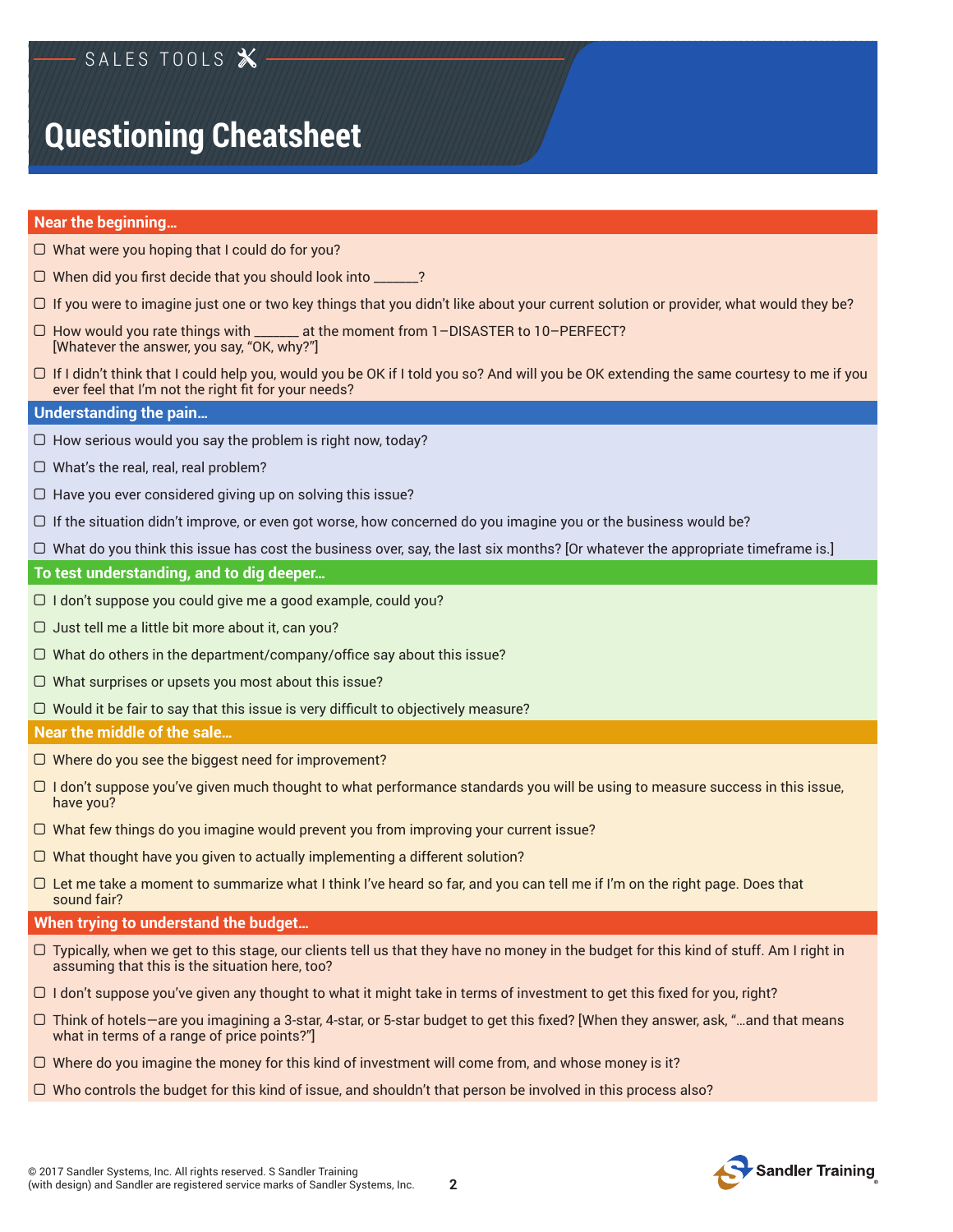## **Near the beginning…**

- $\Box$  What were you hoping that I could do for you?
- $\Box$  When did you first decide that you should look into \_\_\_\_\_\_?
- $\Box$  If you were to imagine just one or two key things that you didn't like about your current solution or provider, what would they be?
- ! How would you rate things with \_\_\_\_\_\_\_ at the moment from 1–DISASTER to 10–PERFECT? [Whatever the answer, you say, "OK, why?"]
- $\Box$  If I didn't think that I could help you, would you be OK if I told you so? And will you be OK extending the same courtesy to me if you ever feel that I'm not the right fit for your needs?

## **Understanding the pain…**

- $\Box$  How serious would you say the problem is right now, today?
- $\Box$  What's the real, real, real problem?
- $\Box$  Have you ever considered giving up on solving this issue?
- $\Box$  If the situation didn't improve, or even got worse, how concerned do you imagine you or the business would be?
- $\Box$  What do you think this issue has cost the business over, say, the last six months? [Or whatever the appropriate timeframe is.]

## **To test understanding, and to dig deeper…**

- $\Box$  I don't suppose you could give me a good example, could you?
- $\Box$  Just tell me a little bit more about it, can you?
- $\Box$  What do others in the department/company/office say about this issue?
- $\Box$  What surprises or upsets you most about this issue?
- $\Box$  Would it be fair to say that this issue is very difficult to objectively measure?

#### **Near the middle of the sale…**

- $\Box$  Where do you see the biggest need for improvement?
- $\Box$  I don't suppose you've given much thought to what performance standards you will be using to measure success in this issue, have you?
- $\Box$  What few things do you imagine would prevent you from improving your current issue?
- $\Box$  What thought have you given to actually implementing a different solution?
- $\Box$  Let me take a moment to summarize what I think I've heard so far, and you can tell me if I'm on the right page. Does that sound fair?

## **When trying to understand the budget…**

- $\Box$  Typically, when we get to this stage, our clients tell us that they have no money in the budget for this kind of stuff. Am I right in assuming that this is the situation here, too?
- $\Box$  I don't suppose you've given any thought to what it might take in terms of investment to get this fixed for you, right?
- $\Box$  Think of hotels—are you imagining a 3-star, 4-star, or 5-star budget to get this fixed? [When they answer, ask, "...and that means what in terms of a range of price points?"]
- $\Box$  Where do you imagine the money for this kind of investment will come from, and whose money is it?
- $\Box$  Who controls the budget for this kind of issue, and shouldn't that person be involved in this process also?

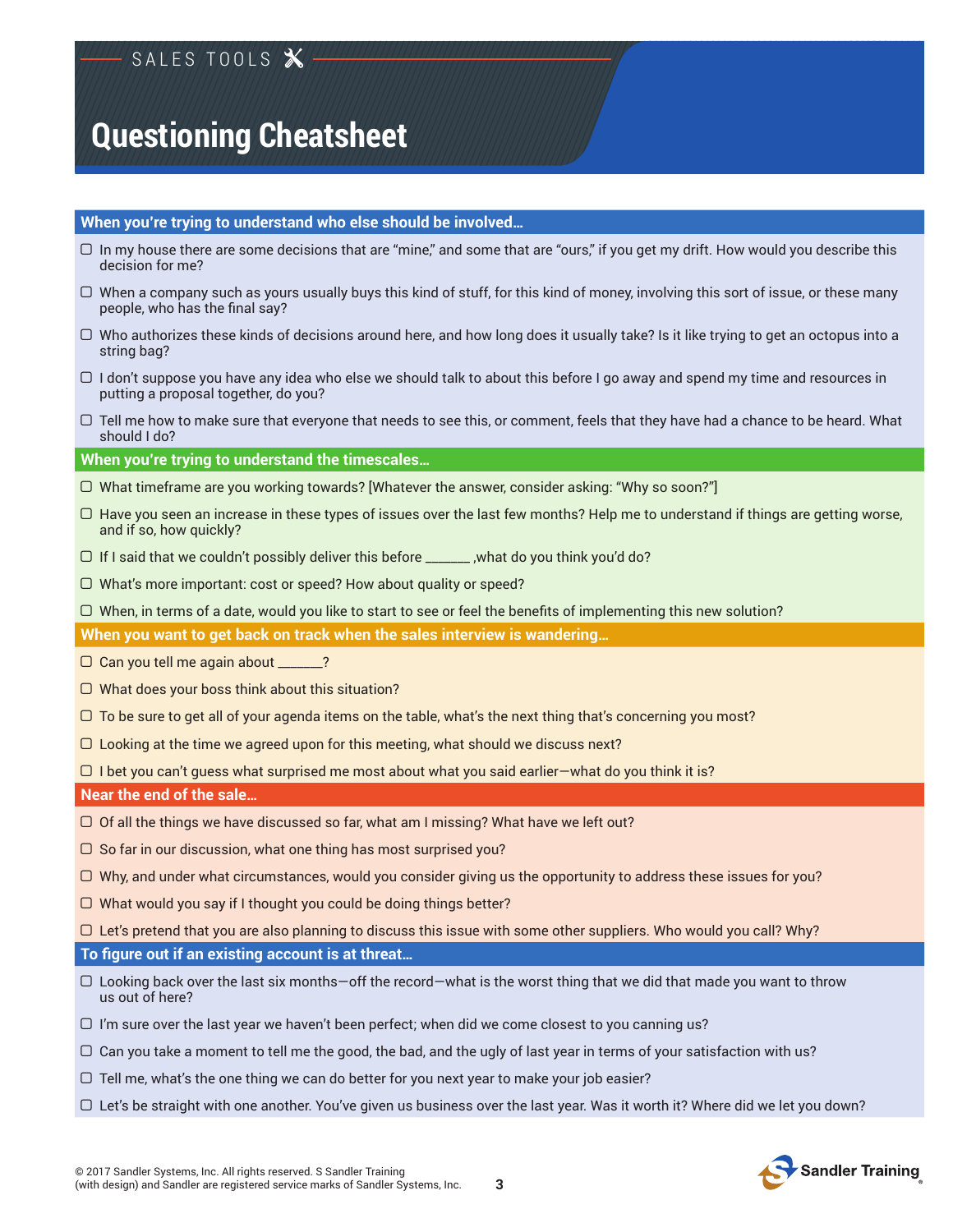## **When you're trying to understand who else should be involved…**

- $\Box$  In my house there are some decisions that are "mine," and some that are "ours," if you get my drift. How would you describe this decision for me?
- $\Box$  When a company such as yours usually buys this kind of stuff, for this kind of money, involving this sort of issue, or these many people, who has the fnal say?
- $\Box$  Who authorizes these kinds of decisions around here, and how long does it usually take? Is it like trying to get an octopus into a string bag?
- $\Box$  I don't suppose you have any idea who else we should talk to about this before I go away and spend my time and resources in putting a proposal together, do you?
- $\Box$  Tell me how to make sure that everyone that needs to see this, or comment, feels that they have had a chance to be heard. What should I do?

## **When you're trying to understand the timescales…**

- $\Box$  What timeframe are you working towards? [Whatever the answer, consider asking: "Why so soon?"]
- $\Box$  Have you seen an increase in these types of issues over the last few months? Help me to understand if things are getting worse, and if so, how quickly?
- $\Box$  If I said that we couldn't possibly deliver this before \_\_\_\_\_\_\_, , what do you think you'd do?
- $\Box$  What's more important: cost or speed? How about quality or speed?
- $\Box$  When, in terms of a date, would you like to start to see or feel the benefits of implementing this new solution?

**When you want to get back on track when the sales interview is wandering…**

- $\Box$  Can you tell me again about \_\_\_\_\_?
- $\Box$  What does your boss think about this situation?
- $\Box$  To be sure to get all of your agenda items on the table, what's the next thing that's concerning you most?
- $\Box$  Looking at the time we agreed upon for this meeting, what should we discuss next?

 $\Box$  I bet you can't guess what surprised me most about what you said earlier—what do you think it is?

**Near the end of the sale…**

- $\Box$  Of all the things we have discussed so far, what am I missing? What have we left out?
- $\Box$  So far in our discussion, what one thing has most surprised you?
- $\Box$  Why, and under what circumstances, would you consider giving us the opportunity to address these issues for you?
- $\Box$  What would you say if I thought you could be doing things better?
- $\Box$  Let's pretend that you are also planning to discuss this issue with some other suppliers. Who would you call? Why?

## **To fgure out if an existing account is at threat…**

- $\Box$  Looking back over the last six months-off the record-what is the worst thing that we did that made you want to throw us out of here?
- $\Box$  I'm sure over the last year we haven't been perfect; when did we come closest to you canning us?
- $\Box$  Can you take a moment to tell me the good, the bad, and the ugly of last year in terms of your satisfaction with us?
- $\Box$  Tell me, what's the one thing we can do better for you next year to make your job easier?
- $\Box$  Let's be straight with one another. You've given us business over the last year. Was it worth it? Where did we let you down?

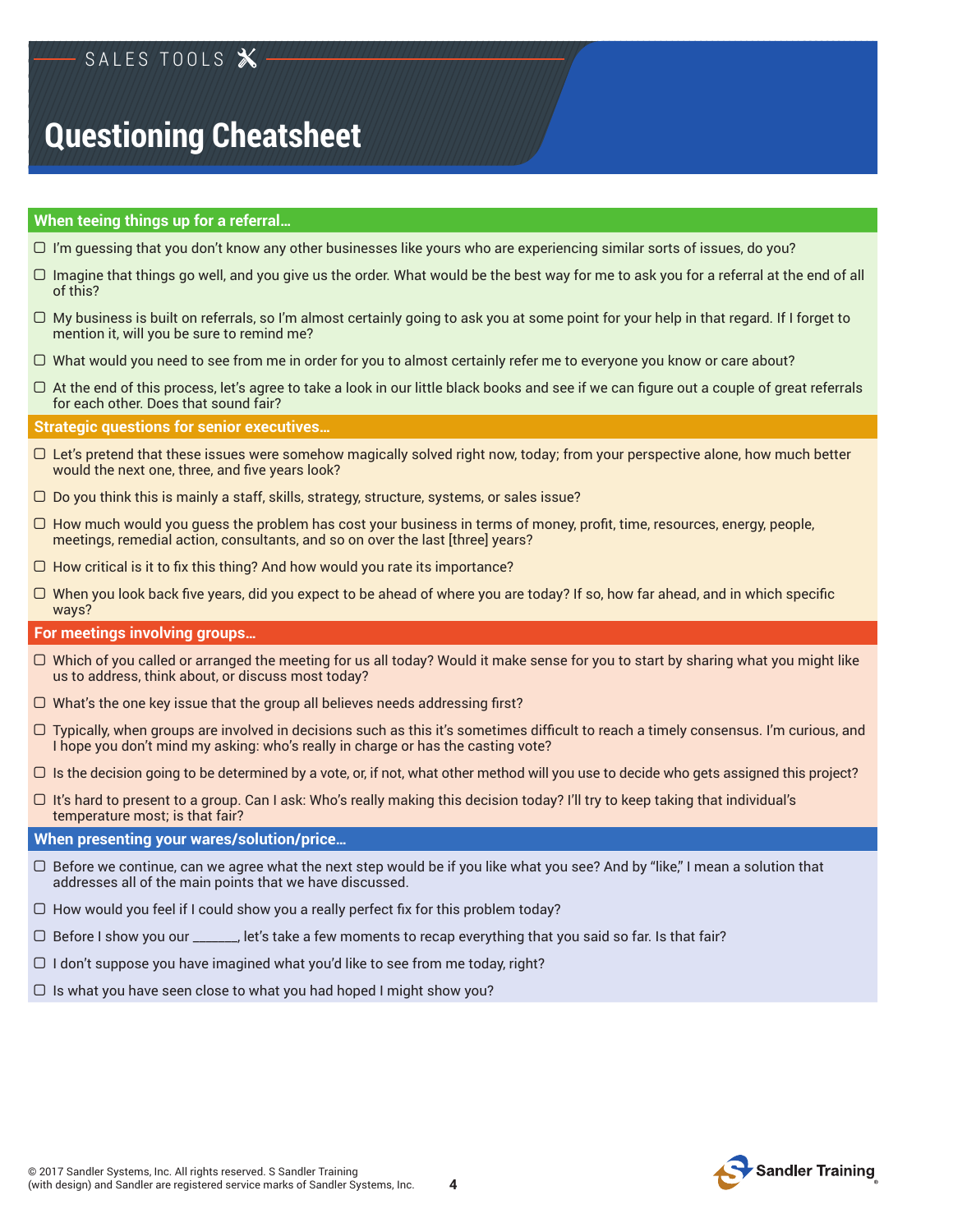## **When teeing things up for a referral…**

- $\Box$  I'm guessing that you don't know any other businesses like yours who are experiencing similar sorts of issues, do you?
- $\Box$  Imagine that things go well, and you give us the order. What would be the best way for me to ask you for a referral at the end of all of this?
- $\Box$  My business is built on referrals, so I'm almost certainly going to ask you at some point for your help in that regard. If I forget to mention it, will you be sure to remind me?
- $\Box$  What would you need to see from me in order for you to almost certainly refer me to everyone you know or care about?
- $\Box$  At the end of this process, let's agree to take a look in our little black books and see if we can figure out a couple of great referrals for each other. Does that sound fair?

**Strategic questions for senior executives…**

- $\Box$  Let's pretend that these issues were somehow magically solved right now, today; from your perspective alone, how much better would the next one, three, and five years look?
- $\Box$  Do you think this is mainly a staff, skills, strategy, structure, systems, or sales issue?
- $\Box$  How much would you guess the problem has cost your business in terms of money, profit, time, resources, energy, people, meetings, remedial action, consultants, and so on over the last [three] years?
- $\Box$  How critical is it to fix this thing? And how would you rate its importance?
- $\Box$  When you look back five years, did you expect to be ahead of where you are today? If so, how far ahead, and in which specific ways?

#### **For meetings involving groups…**

- $\Box$  Which of you called or arranged the meeting for us all today? Would it make sense for you to start by sharing what you might like us to address, think about, or discuss most today?
- $\Box$  What's the one key issue that the group all believes needs addressing first?
- $\Box$  Typically, when groups are involved in decisions such as this it's sometimes difficult to reach a timely consensus. I'm curious, and I hope you don't mind my asking: who's really in charge or has the casting vote?
- $\Box$  Is the decision going to be determined by a vote, or, if not, what other method will you use to decide who gets assigned this project?
- $\Box$  It's hard to present to a group. Can I ask: Who's really making this decision today? I'll try to keep taking that individual's temperature most; is that fair?

## **When presenting your wares/solution/price…**

- $\Box$  Before we continue, can we agree what the next step would be if you like what you see? And by "like," I mean a solution that addresses all of the main points that we have discussed.
- $\Box$  How would you feel if I could show you a really perfect fix for this problem today?
- $\Box$  Before I show you our \_\_\_\_\_, let's take a few moments to recap everything that you said so far. Is that fair?
- $\Box$  I don't suppose you have imagined what you'd like to see from me today, right?
- $\Box$  Is what you have seen close to what you had hoped I might show you?



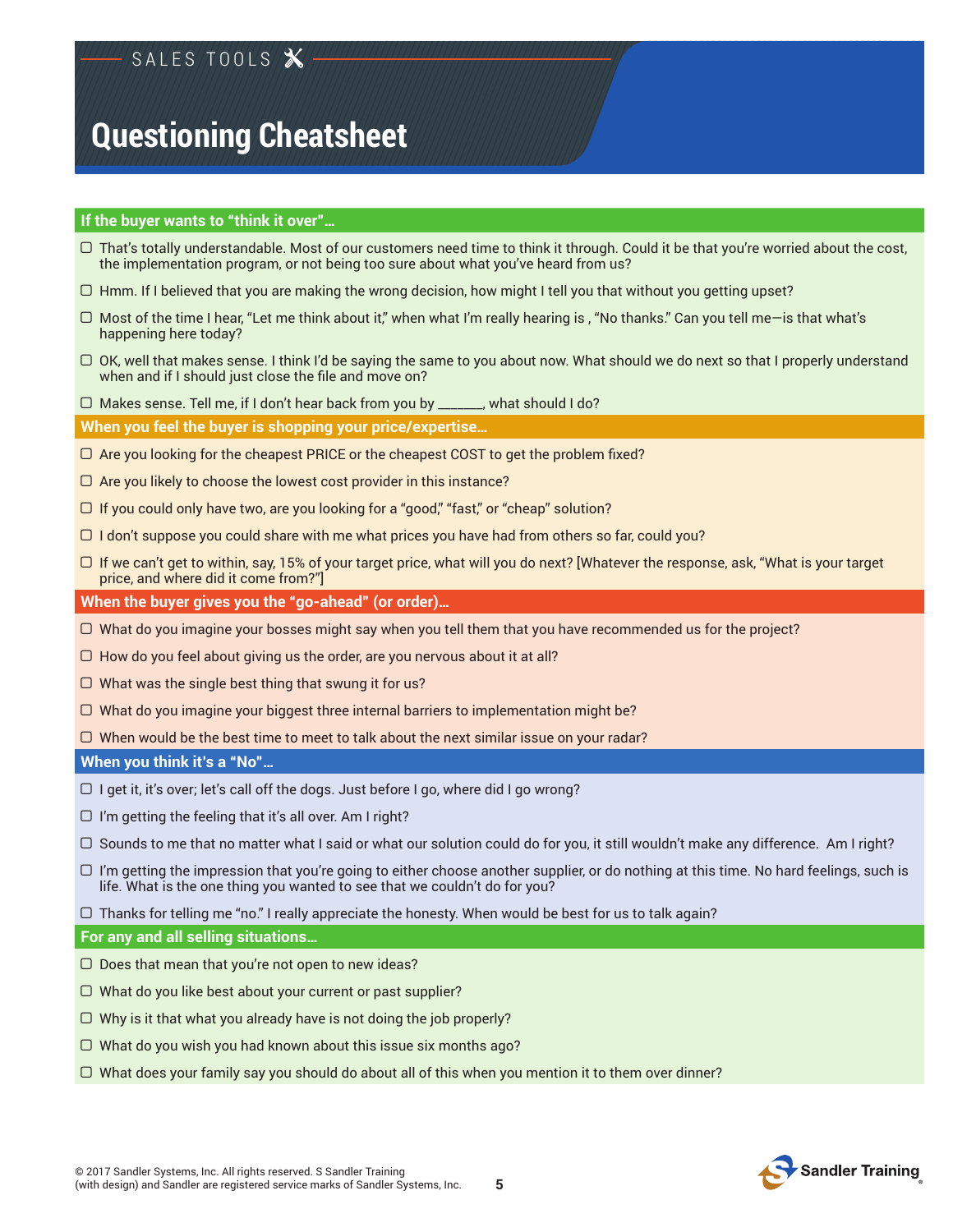## **If the buyer wants to "think it over"…**

- ! That's totally understandable. Most of our customers need time to think it through. Could it be that you're worried about the cost, the implementation program, or not being too sure about what you've heard from us?
- $\Box$  Hmm. If I believed that you are making the wrong decision, how might I tell you that without you getting upset?
- $\Box$  Most of the time I hear, "Let me think about it," when what I'm really hearing is , "No thanks." Can you tell me—is that what's happening here today?
- $\Box$  OK, well that makes sense. I think I'd be saying the same to you about now. What should we do next so that I properly understand when and if I should just close the fle and move on?
- □ Makes sense. Tell me, if I don't hear back from you by \_\_\_\_\_\_, what should I do?

**When you feel the buyer is shopping your price/expertise…**

- $\Box$  Are you looking for the cheapest PRICE or the cheapest COST to get the problem fixed?
- $\Box$  Are you likely to choose the lowest cost provider in this instance?
- $\Box$  If you could only have two, are you looking for a "good," "fast," or "cheap" solution?
- $\Box$  I don't suppose you could share with me what prices you have had from others so far, could you?
- $\Box$  If we can't get to within, say, 15% of your target price, what will you do next? [Whatever the response, ask, "What is your target price, and where did it come from?"]

**When the buyer gives you the "go-ahead" (or order)…**

- $\Box$  What do you imagine your bosses might say when you tell them that you have recommended us for the project?
- $\Box$  How do you feel about giving us the order, are you nervous about it at all?
- $\Box$  What was the single best thing that swung it for us?
- $\Box$  What do you imagine your biggest three internal barriers to implementation might be?
- $\Box$  When would be the best time to meet to talk about the next similar issue on your radar?

## **When you think it's a "No"…**

- $\Box$  I get it, it's over; let's call off the dogs. Just before I go, where did I go wrong?
- $\Box$  I'm getting the feeling that it's all over. Am I right?
- $\Box$  Sounds to me that no matter what I said or what our solution could do for you, it still wouldn't make any difference. Am I right?
- $\Box$  I'm getting the impression that you're going to either choose another supplier, or do nothing at this time. No hard feelings, such is life. What is the one thing you wanted to see that we couldn't do for you?
- $\Box$  Thanks for telling me "no." I really appreciate the honesty. When would be best for us to talk again?

## **For any and all selling situations…**

- $\Box$  Does that mean that you're not open to new ideas?
- $\Box$  What do you like best about your current or past supplier?
- $\Box$  Why is it that what you already have is not doing the job properly?
- $\Box$  What do you wish you had known about this issue six months ago?
- $\Box$  What does your family say you should do about all of this when you mention it to them over dinner?